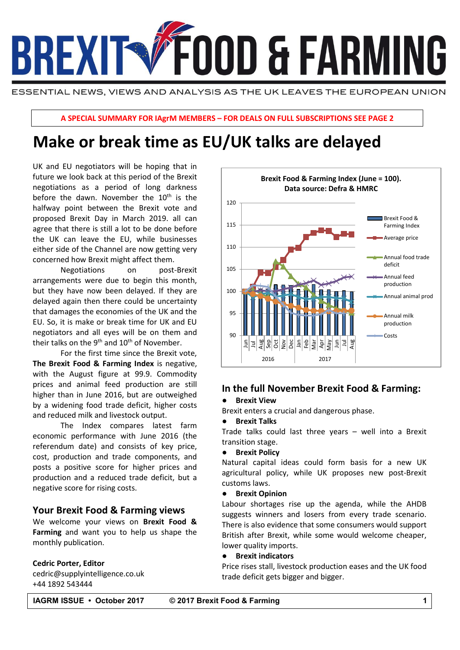

ESSENTIAL NEWS, VIEWS AND ANALYSIS AS THE UK LEAVES THE EUROPEAN UNION

**A SPECIAL SUMMARY FOR IAgrM MEMBERS – FOR DEALS ON FULL SUBSCRIPTIONS SEE PAGE 2**

# +44 7881 956446 **Make or break time as EU/UK talks are delayed**

UK and EU negotiators will be hoping that in future we look back at this period of the Brexit negotiations as a period of long darkness before the dawn. November the  $10<sup>th</sup>$  is the halfway point between the Brexit vote and proposed Brexit Day in March 2019. all can agree that there is still a lot to be done before the UK can leave the EU, while businesses either side of the Channel are now getting very concerned how Brexit might affect them.

Negotiations on post-Brexit arrangements were due to begin this month, but they have now been delayed. If they are delayed again then there could be uncertainty that damages the economies of the UK and the EU. So, it is make or break time for UK and EU negotiators and all eyes will be on them and their talks on the 9<sup>th</sup> and  $10<sup>th</sup>$  of November.

For the first time since the Brexit vote, **The Brexit Food & Farming Index** is negative, with the August figure at 99.9. Commodity prices and animal feed production are still higher than in June 2016, but are outweighed by a widening food trade deficit, higher costs and reduced milk and livestock output.

The Index compares latest farm economic performance with June 2016 (the referendum date) and consists of key price, cost, production and trade components, and posts a positive score for higher prices and production and a reduced trade deficit, but a negative score for rising costs.

### **Your Brexit Food & Farming views**

We welcome your views on **Brexit Food & Farming** and want you to help us shape the monthly publication.

### **Cedric Porter, Editor**

cedric@supplyintelligence.co.uk +44 1892 543444



### **In the full November Brexit Food & Farming:**

### **Brexit View**

Brexit enters a crucial and dangerous phase.

### ● **Brexit Talks**

Trade talks could last three years – well into a Brexit transition stage.

### ● **Brexit Policy**

Natural capital ideas could form basis for a new UK agricultural policy, while UK proposes new post-Brexit customs laws.

#### **Brexit Opinion**

Labour shortages rise up the agenda, while the AHDB suggests winners and losers from every trade scenario. There is also evidence that some consumers would support British after Brexit, while some would welcome cheaper, lower quality imports.

### ● **Brexit indicators**

Price rises stall, livestock production eases and the UK food trade deficit gets bigger and bigger.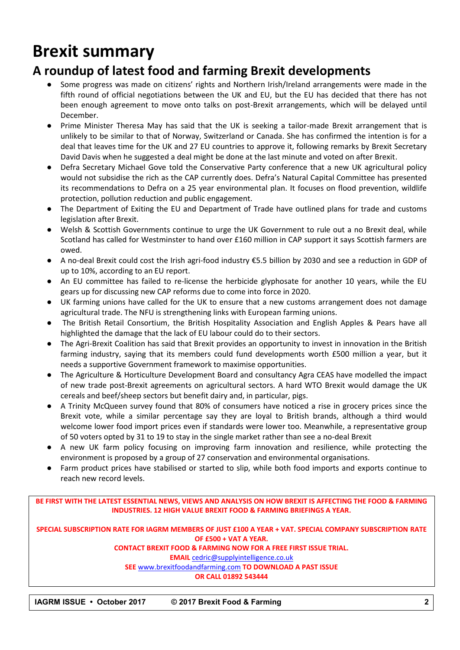# **Brexit summary**

## **A roundup of latest food and farming Brexit developments**

- Some progress was made on citizens' rights and Northern Irish/Ireland arrangements were made in the fifth round of official negotiations between the UK and EU, but the EU has decided that there has not been enough agreement to move onto talks on post-Brexit arrangements, which will be delayed until December.
- Prime Minister Theresa May has said that the UK is seeking a tailor-made Brexit arrangement that is unlikely to be similar to that of Norway, Switzerland or Canada. She has confirmed the intention is for a deal that leaves time for the UK and 27 EU countries to approve it, following remarks by Brexit Secretary David Davis when he suggested a deal might be done at the last minute and voted on after Brexit.
- Defra Secretary Michael Gove told the Conservative Party conference that a new UK agricultural policy would not subsidise the rich as the CAP currently does. Defra's Natural Capital Committee has presented its recommendations to Defra on a 25 year environmental plan. It focuses on flood prevention, wildlife protection, pollution reduction and public engagement.
- The Department of Exiting the EU and Department of Trade have outlined plans for trade and customs legislation after Brexit.
- Welsh & Scottish Governments continue to urge the UK Government to rule out a no Brexit deal, while Scotland has called for Westminster to hand over £160 million in CAP support it says Scottish farmers are owed.
- A no-deal Brexit could cost the Irish agri-food industry €5.5 billion by 2030 and see a reduction in GDP of up to 10%, according to an EU report.
- An EU committee has failed to re-license the herbicide glyphosate for another 10 years, while the EU gears up for discussing new CAP reforms due to come into force in 2020.
- UK farming unions have called for the UK to ensure that a new customs arrangement does not damage agricultural trade. The NFU is strengthening links with European farming unions.
- The British Retail Consortium, the British Hospitality Association and English Apples & Pears have all highlighted the damage that the lack of EU labour could do to their sectors.
- The Agri-Brexit Coalition has said that Brexit provides an opportunity to invest in innovation in the British farming industry, saying that its members could fund developments worth £500 million a year, but it needs a supportive Government framework to maximise opportunities.
- The Agriculture & Horticulture Development Board and consultancy Agra CEAS have modelled the impact of new trade post-Brexit agreements on agricultural sectors. A hard WTO Brexit would damage the UK cereals and beef/sheep sectors but benefit dairy and, in particular, pigs.
- A Trinity McQueen survey found that 80% of consumers have noticed a rise in grocery prices since the Brexit vote, while a similar percentage say they are loyal to British brands, although a third would welcome lower food import prices even if standards were lower too. Meanwhile, a representative group of 50 voters opted by 31 to 19 to stay in the single market rather than see a no-deal Brexit
- A new UK farm policy focusing on improving farm innovation and resilience, while protecting the environment is proposed by a group of 27 conservation and environmental organisations.
- Farm product prices have stabilised or started to slip, while both food imports and exports continue to reach new record levels.

**BE FIRST WITH THE LATEST ESSENTIAL NEWS, VIEWS AND ANALYSIS ON HOW BREXIT IS AFFECTING THE FOOD & FARMING INDUSTRIES. 12 HIGH VALUE BREXIT FOOD & FARMING BRIEFINGS A YEAR.**

**SPECIAL SUBSCRIPTION RATE FOR IAGRM MEMBERS OF JUST £100 A YEAR + VAT. SPECIAL COMPANY SUBSCRIPTION RATE OF £500 + VAT A YEAR.**

### **CONTACT BREXIT FOOD & FARMING NOW FOR A FREE FIRST ISSUE TRIAL.**

**EMAIL** [cedric@supplyintelligence.co.uk](mailto:cedric@supplyintelligence.co.uk)

**SEE** [www.brexitfoodandfarming.com](http://www.brexitfoodandfarming.com/) **TO DOWNLOAD A PAST ISSUE**

### **OR CALL 01892 543444**

**IAGRM ISSUE • October 2017 © 2017 Brexit Food & Farming 2**